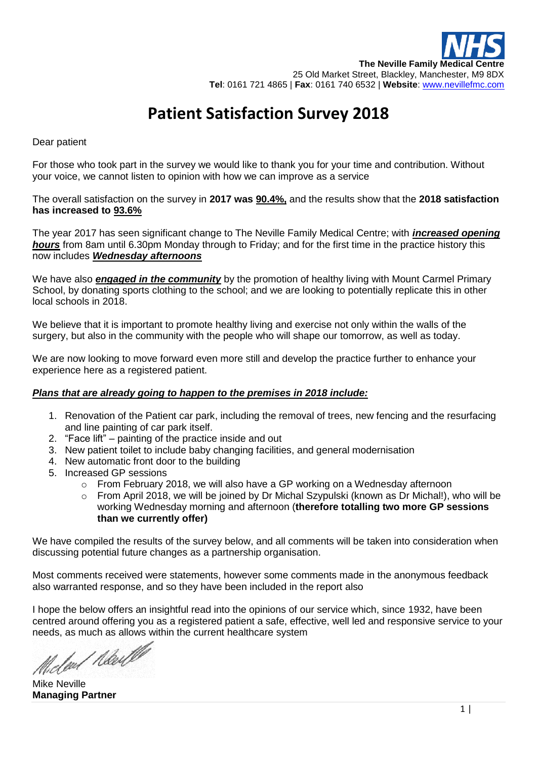# **Patient Satisfaction Survey 2018**

#### Dear patient

For those who took part in the survey we would like to thank you for your time and contribution. Without your voice, we cannot listen to opinion with how we can improve as a service

The overall satisfaction on the survey in **2017 was 90.4%,** and the results show that the **2018 satisfaction has increased to 93.6%**

The year 2017 has seen significant change to The Neville Family Medical Centre; with *increased opening hours* from 8am until 6.30pm Monday through to Friday; and for the first time in the practice history this now includes *Wednesday afternoons*

We have also **engaged in the community** by the promotion of healthy living with Mount Carmel Primary School, by donating sports clothing to the school; and we are looking to potentially replicate this in other local schools in 2018.

We believe that it is important to promote healthy living and exercise not only within the walls of the surgery, but also in the community with the people who will shape our tomorrow, as well as today.

We are now looking to move forward even more still and develop the practice further to enhance your experience here as a registered patient.

#### *Plans that are already going to happen to the premises in 2018 include:*

- 1. Renovation of the Patient car park, including the removal of trees, new fencing and the resurfacing and line painting of car park itself.
- 2. "Face lift" painting of the practice inside and out
- 3. New patient toilet to include baby changing facilities, and general modernisation
- 4. New automatic front door to the building
- 5. Increased GP sessions
	- o From February 2018, we will also have a GP working on a Wednesday afternoon
	- $\circ$  From April 2018, we will be joined by Dr Michal Szypulski (known as Dr Michal!), who will be working Wednesday morning and afternoon (**therefore totalling two more GP sessions than we currently offer)**

We have compiled the results of the survey below, and all comments will be taken into consideration when discussing potential future changes as a partnership organisation.

Most comments received were statements, however some comments made in the anonymous feedback also warranted response, and so they have been included in the report also

I hope the below offers an insightful read into the opinions of our service which, since 1932, have been centred around offering you as a registered patient a safe, effective, well led and responsive service to your needs, as much as allows within the current healthcare system

deal Newl

Mike Neville **Managing Partner**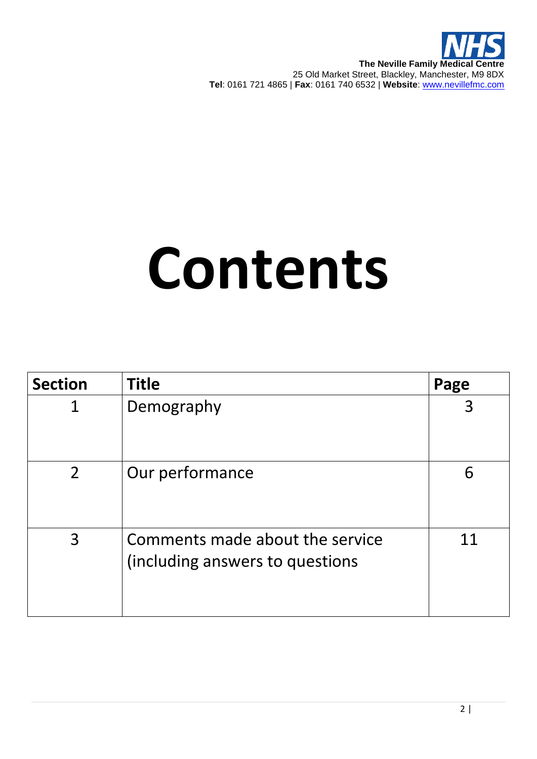**The Neville Family Medical Centre** 25 Old Market Street, Blackley, Manchester, M9 8DX **Tel**: 0161 721 4865 | **Fax**: 0161 740 6532 | **Website**: [www.nevillefmc.com](http://www.nevillefmc.com/)

# **Contents**

| <b>Section</b> | <b>Title</b>                                                       | Page |
|----------------|--------------------------------------------------------------------|------|
| 1              | Demography                                                         |      |
| $\overline{2}$ | Our performance                                                    | 6    |
| 3              | Comments made about the service<br>(including answers to questions | 11   |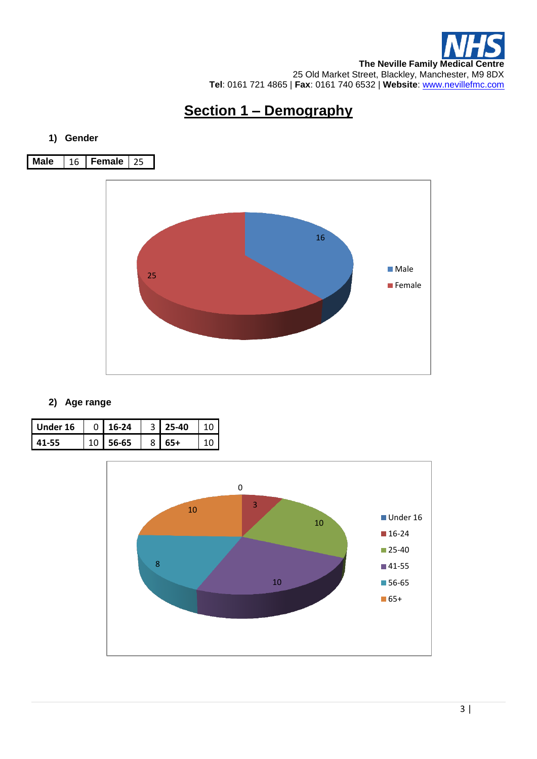

## **Section 1 – Demography**

#### **1) Gender**



#### **2) Age range**

| Under 16 | $0 \mid 16-24$ | $3 \mid 25 - 40$ |  |
|----------|----------------|------------------|--|
| 11-55    | 56-65          | $55+$            |  |

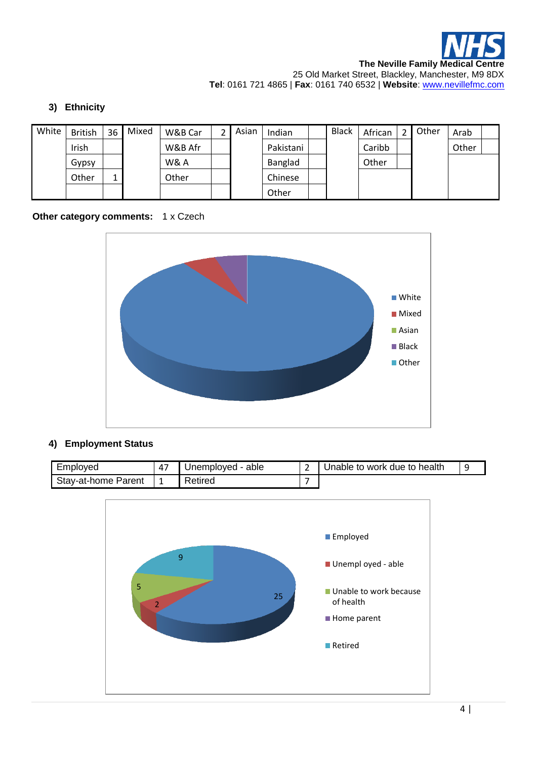

#### **3) Ethnicity**

| White | <b>British</b> | 36 | Mixed | W&B Car | Asian | Indian    | <b>Black</b> | African | Other | Arab  |  |
|-------|----------------|----|-------|---------|-------|-----------|--------------|---------|-------|-------|--|
|       | Irish          |    |       | W&B Afr |       | Pakistani |              | Caribb  |       | Other |  |
|       | Gypsy          |    |       | W& A    |       | Banglad   |              | Other   |       |       |  |
|       | Other          |    |       | Other   |       | Chinese   |              |         |       |       |  |
|       |                |    |       |         |       | Other     |              |         |       |       |  |

#### **Other category comments:** 1 x Czech



#### **4) Employment Status**

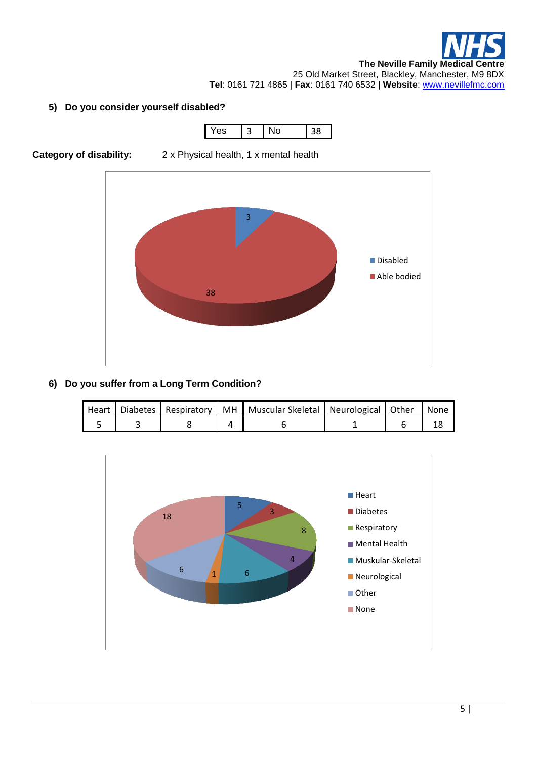#### **5) Do you consider yourself disabled?**







#### **6) Do you suffer from a Long Term Condition?**

|  |  | Heart   Diabetes   Respiratory   MH   Muscular Skeletal   Neurological   Other   None |  |  |
|--|--|---------------------------------------------------------------------------------------|--|--|
|  |  |                                                                                       |  |  |

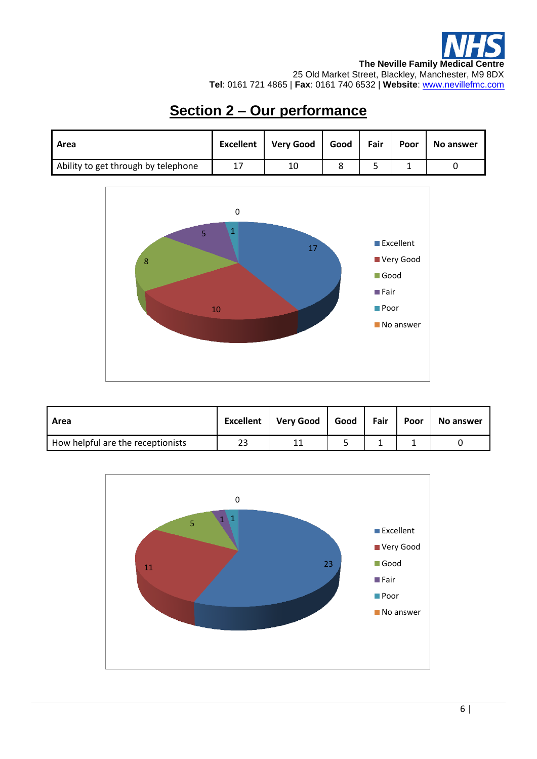## **Section 2 – Our performance**

| Area                                | <b>Excellent</b> | <b>Very Good</b> | Good | Fair | Poor | No answer |
|-------------------------------------|------------------|------------------|------|------|------|-----------|
| Ability to get through by telephone | 17               | 10               |      |      |      |           |



| Area                              | <b>Excellent</b> | Very Good | Good | Fair | Poor | No answer |
|-----------------------------------|------------------|-----------|------|------|------|-----------|
| How helpful are the receptionists | 23               |           |      |      |      |           |

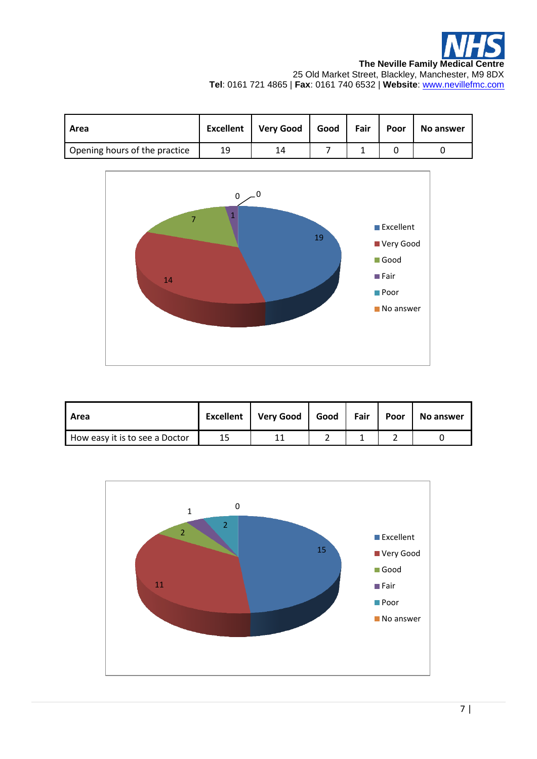| Area                          | <b>Excellent</b> | Very Good   Good   Fair |  | Poor | <b>No answer</b> |
|-------------------------------|------------------|-------------------------|--|------|------------------|
| Opening hours of the practice | 19               | 14                      |  |      |                  |



| Area                           | <b>Excellent</b> | Very Good | Good | Fair | Poor | No answer |
|--------------------------------|------------------|-----------|------|------|------|-----------|
| How easy it is to see a Doctor | 15               |           |      |      |      |           |

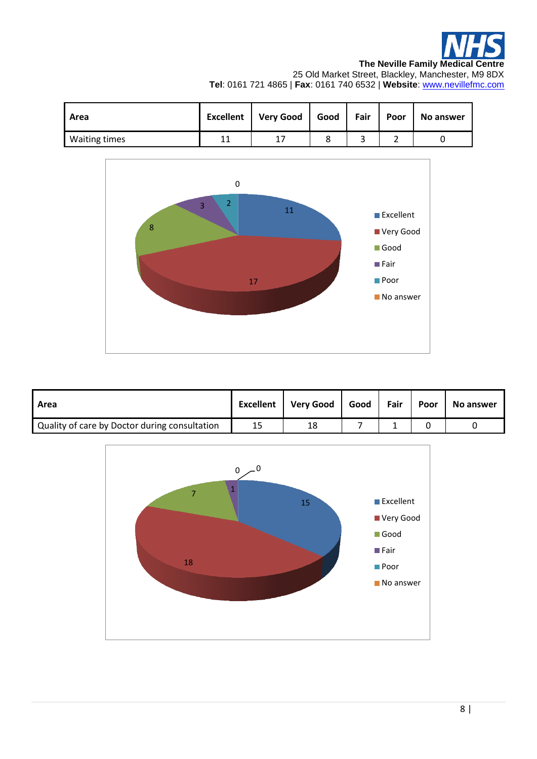

**The Neville Family Medical Centre**

25 Old Market Street, Blackley, Manchester, M9 8DX **Tel**: 0161 721 4865 | **Fax**: 0161 740 6532 | **Website**: [www.nevillefmc.com](http://www.nevillefmc.com/)

| Area                 | <b>Excellent</b> | Very Good | Good | Fair | Poor | No answer |
|----------------------|------------------|-----------|------|------|------|-----------|
| <b>Waiting times</b> | 11               |           |      |      |      |           |



| Area                                          | <b>Excellent</b> | <b>Very Good</b> | Good | Fair | Poor | <b>No answer</b> |
|-----------------------------------------------|------------------|------------------|------|------|------|------------------|
| Quality of care by Doctor during consultation | 15               | 18               |      |      |      |                  |

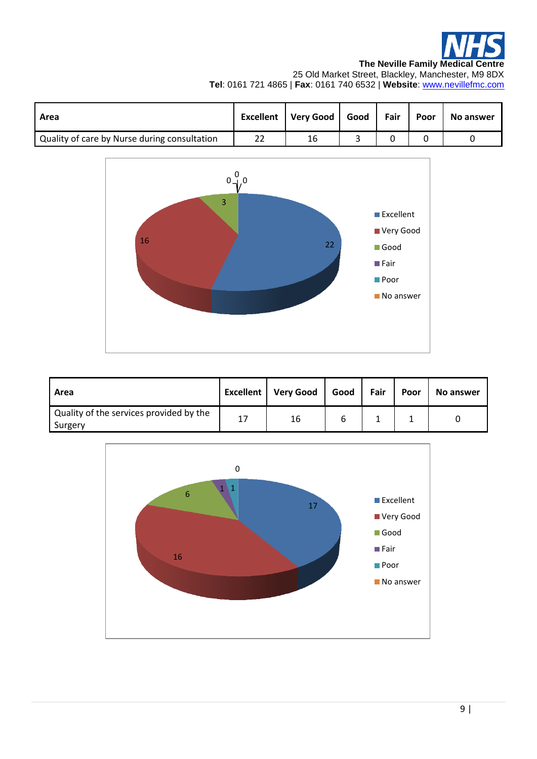

**The Neville Family Medical Centre**

25 Old Market Street, Blackley, Manchester, M9 8DX **Tel**: 0161 721 4865 | **Fax**: 0161 740 6532 | **Website**: [www.nevillefmc.com](http://www.nevillefmc.com/)

| Area                                         | <b>Excellent</b> | Very Good   Good | Fair | Poor | <b>No answer</b> |
|----------------------------------------------|------------------|------------------|------|------|------------------|
| Quality of care by Nurse during consultation |                  | 16               |      |      |                  |



| Area                                               | Excellent | <b>Very Good</b> | Good | Fair | Poor | <b>No answer</b> |
|----------------------------------------------------|-----------|------------------|------|------|------|------------------|
| Quality of the services provided by the<br>Surgery | 17        | 16               |      |      |      |                  |

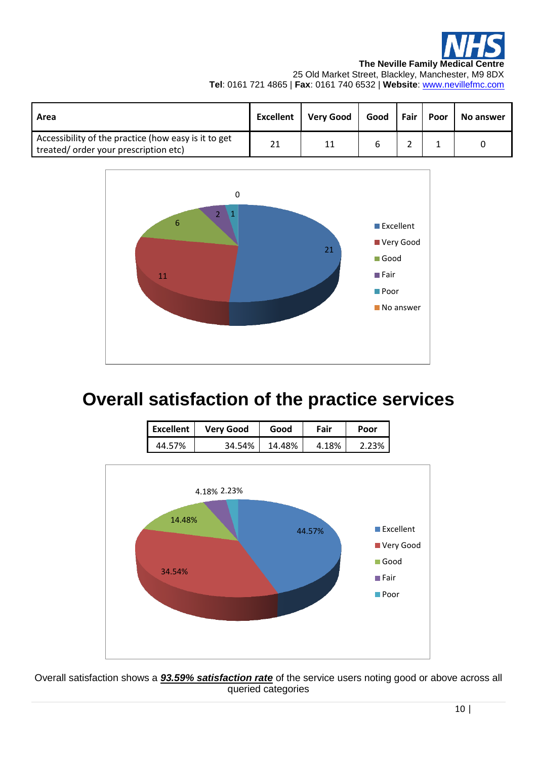

**The Neville Family Medical Centre** 25 Old Market Street, Blackley, Manchester, M9 8DX

**Tel**: 0161 721 4865 | **Fax**: 0161 740 6532 | **Website**: [www.nevillefmc.com](http://www.nevillefmc.com/)

| Area                                                                                         | <b>Excellent</b> | <b>Very Good</b> | Good | Fair   Poor | <b>No answer</b> |
|----------------------------------------------------------------------------------------------|------------------|------------------|------|-------------|------------------|
| Accessibility of the practice (how easy is it to get<br>treated/order your prescription etc) | 21               | 11               |      |             |                  |



# **Overall satisfaction of the practice services**

| Excellent | <b>Very Good</b> | Good   | Fair  | Poor |
|-----------|------------------|--------|-------|------|
| 44.57%    | 34.54%           | 14.48% | 4.18% |      |



Overall satisfaction shows a *93.59% satisfaction rate* of the service users noting good or above across all queried categories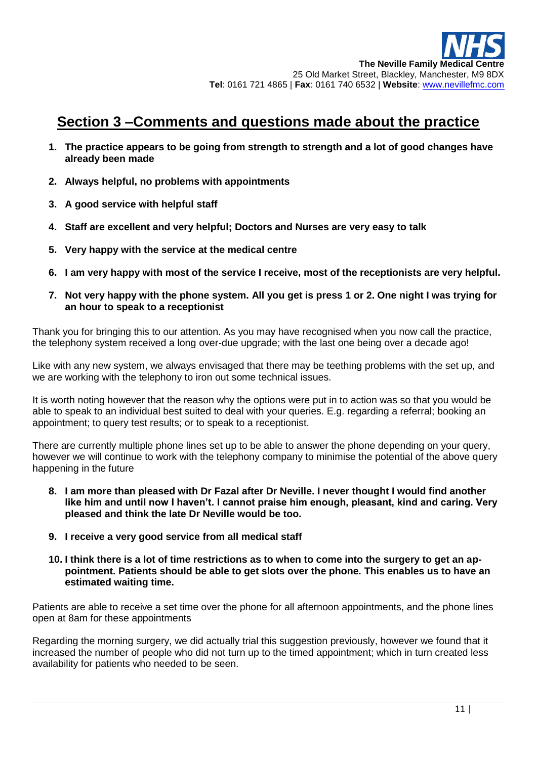### **Section 3 –Comments and questions made about the practice**

- **1. The practice appears to be going from strength to strength and a lot of good changes have already been made**
- **2. Always helpful, no problems with appointments**
- **3. A good service with helpful staff**
- **4. Staff are excellent and very helpful; Doctors and Nurses are very easy to talk**
- **5. Very happy with the service at the medical centre**
- **6. I am very happy with most of the service I receive, most of the receptionists are very helpful.**
- **7. Not very happy with the phone system. All you get is press 1 or 2. One night I was trying for an hour to speak to a receptionist**

Thank you for bringing this to our attention. As you may have recognised when you now call the practice, the telephony system received a long over-due upgrade; with the last one being over a decade ago!

Like with any new system, we always envisaged that there may be teething problems with the set up, and we are working with the telephony to iron out some technical issues.

It is worth noting however that the reason why the options were put in to action was so that you would be able to speak to an individual best suited to deal with your queries. E.g. regarding a referral; booking an appointment; to query test results; or to speak to a receptionist.

There are currently multiple phone lines set up to be able to answer the phone depending on your query, however we will continue to work with the telephony company to minimise the potential of the above query happening in the future

- **8. I am more than pleased with Dr Fazal after Dr Neville. I never thought I would find another like him and until now I haven't. I cannot praise him enough, pleasant, kind and caring. Very pleased and think the late Dr Neville would be too.**
- **9. I receive a very good service from all medical staff**
- **10. I think there is a lot of time restrictions as to when to come into the surgery to get an appointment. Patients should be able to get slots over the phone. This enables us to have an estimated waiting time.**

Patients are able to receive a set time over the phone for all afternoon appointments, and the phone lines open at 8am for these appointments

Regarding the morning surgery, we did actually trial this suggestion previously, however we found that it increased the number of people who did not turn up to the timed appointment; which in turn created less availability for patients who needed to be seen.